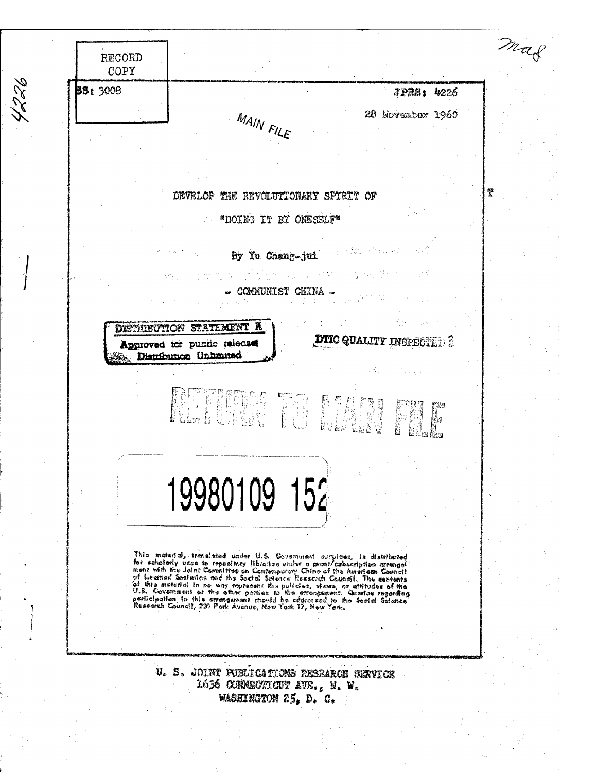$\mathscr{C}(\mathscr{C})$  $\mathcal{P}_{\mathcal{U}}$ RECORD COPY **\$ BB:** 3008 "• J?»8t 4226 28 Jfovss&ber I960 **fc ^** *^AlN T* DEVELOP THE RBVOLUTXOHARY SPIRIT OF "DOING IT BY ONESELF" By lu Ghahg-jni' i Mala - COMMUNIST CHINA -**DISTRIBUTION STATEMENT A** Approved tor pusiic telecises **DTIC QUALITY INSPECTED**  $\frac{1}{2}$ R^/3 FIBfl .1»^ «a **<sup>11</sup> k ' JL' ; " £ ^ £ y^^ 19980109 152** This material, translated under U.S. Government accopices, is distributed<br>for scholarly uses to repusitory librarias vador a grant/cubacciption arrangel<br>ment with the Joint Committee on Contemporary China of the American C Research Gouncil, 230 Port<sup>k</sup> Avenue, *Haw* York 17, New York. U. S. JOINT PUBLICATIONS RESEARCH SERVICE 1636 OOMNEGWICHT AVE., N. W. **uiaRmäsoN £5» D. C,**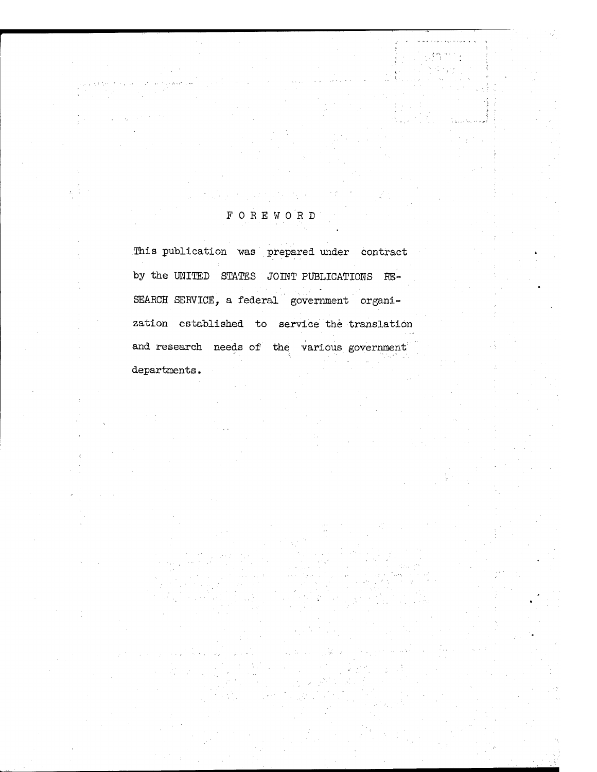# FOREWORD

This publication was prepared under contract by the UNITED STATES JOINT PUBLICATIONS RE-SEARCH SERVICE, a federal government organization established to service the translation and research needs of the various government departments.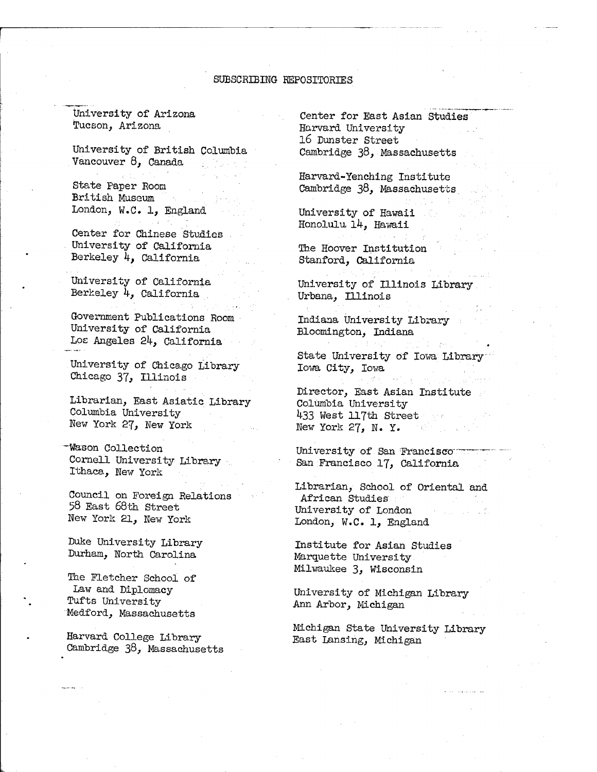#### SUBSCRIBING REPOSITORIES

University of Arizona Tucson, Arizona

University of British Columbia Vancouver 8, Canada ng Pina

State Paper Room British Museum London, W.C. 1, England

Center for Chinese Studies University of California Berkeley *k,* California

University of California Berkeley *k,* California

Government Publications Room University of California Los Angeles *2k,* California

University of Chicago Library Chicago 37, Illinois

Librarian, East Asiatic Library Columbia University New York 27, New York

-Wason Collection Cornell University Library . Ithaca, New York

Council on Foreign Relations 58 East 68th Street New York 21, New York

Duke University Library Durham, North Carolina

The Fletcher School of Law and Diplomacy Tufts University Medford, Massachusetts

Harvard College Library Cambridge 38, Massachusetts

Center for East Asian Studies Harvard University 16 Dunster Street Cambridge 38, Massachusetts

Harvard-Yenching Institute Cambridge 38, Massachusetts

University of Hawaii Honolulu *lk}* Hawaii

The Hoover Institution Stanford, California

University of Illinois Library Urbana, Illinois

Indiana University Library Bloomington, Indiana

State University of Iowa Library Iowa City, Iowa

Director, East Asian Institute Columbia University 433 West 117th Street New York 27, N. Y. in tê bi gundê bi

University of San Francisco San Francisco 17, California

Librarian, School of Oriental and African Studies University of London London, W.C. 1, England

Institute for Asian Studies Marquette University Milwaukee 3, Wisconsin

University of Michigan Library Ann Arbor, Michigan

Michigan State University Library East Lansing, Michigan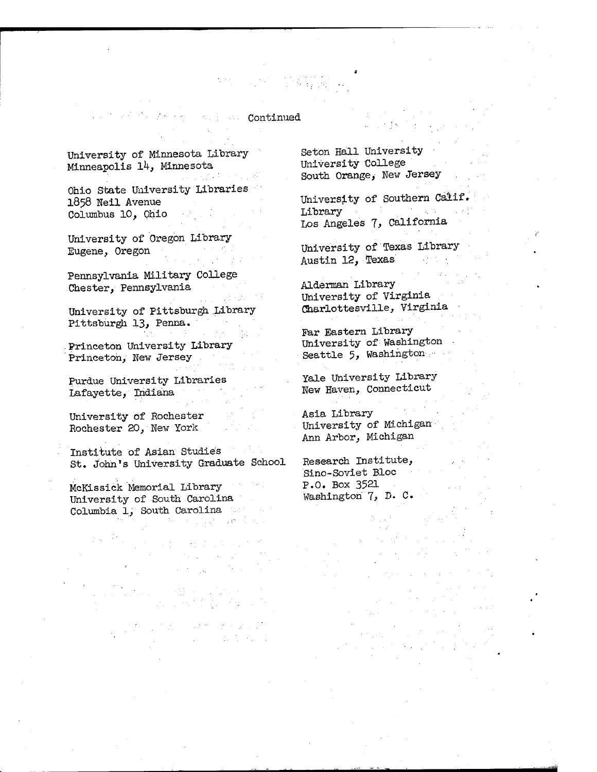**Continued** 

University of Minnesota Library-Minneapolis 14, Minnesota

Service States

Ohio State University Libraries I858 Weil Avenue Columbus 10, Ohio

University of Oregon Library Eugene, Oregon

Pennsylvania Military College Chester, Pennsylvania

University of Pittsburgh Library Pittsburgh 13, Penna.

. Princeton University Library Princeton, New Jersey

Purdue University Libraries Lafayette, Indiana

University Of Rochester Rochester 20, New York

Institute of Asian Studies St. John's University Graduate School

> 그렇게 그리고 있어요? 아이  $\label{eq:2.1} \frac{1}{2} \left( \frac{1}{2} \left( \frac{1}{2} \right) \frac{1}{2} \left( \frac{1}{2} \right) \right) \left( \frac{1}{2} \left( \frac{1}{2} \right) \right) \left( \frac{1}{2} \left( \frac{1}{2} \right) \right) \left( \frac{1}{2} \right) \left( \frac{1}{2} \right) \left( \frac{1}{2} \right) \left( \frac{1}{2} \right) \left( \frac{1}{2} \right) \left( \frac{1}{2} \right) \left( \frac{1}{2} \right) \left( \frac{1}{2} \right) \left$

t de la servició de la

 $\mathcal{L}_{\text{max}} = \mathcal{L}_{\text{max}} \left( \mathcal{L}_{\text{max}} \right)$ 

McKLssick Memorial Library University of South Carolina Columbia 1, South Carolina **2010年6月1日 (1月1日) 学校** 

Seton Hall University University College South Orange, New Jersey

University of Southern Calif. Library **Executive Communication** Los Angeles 7, California

University of Texas Library Austin 12, Texas and the set

Alderman Library University of Virginia Charlottesville, Virginia

par Eastern Library University of Washington Seattle 5, Washington...

Yale University Library New Haven, Connecticut

Asia Library University of Michigan Ann Arbor, Michigan

Research Institute, Sino-Soviet Bloc P.O. Box 352I Washington 7, D. C.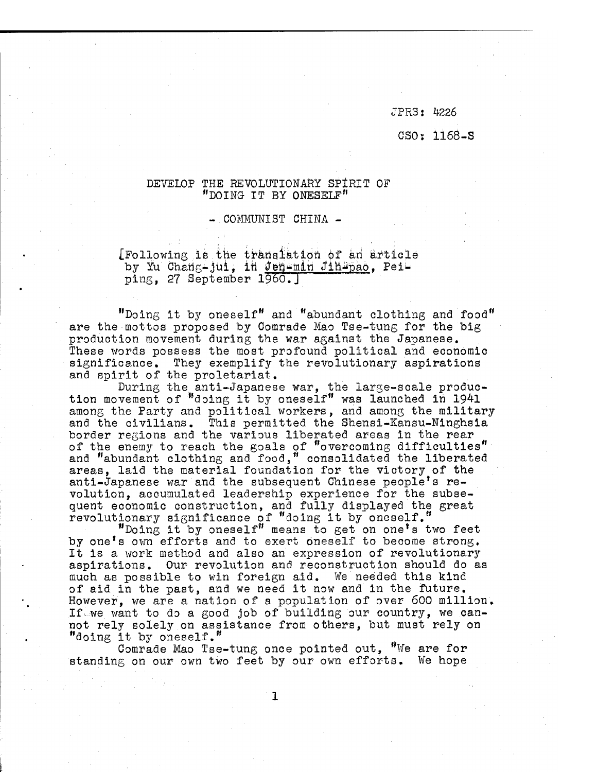JPRS: 4226

### CSO: 116Ö-S

## DEVELOP THE REVOLUTIONARY SPIRIT OF "DOING IT BY ONESELF"

#### -.COMMUNIST CHINA -

 $[$  Following is the translation of an article by Yu Chang-jui, in Jenemin Jihupao, Peiping, 27 September I960.J

"Doing it by oneself" and "abundant clothing and food" are the mottos proposed by Comrade Mao Tse-tung for the big production movement during the war against the Japanese. These words possess the most profound political and economic significance. They exemplify the revolutionary aspirations and spirit of the proletariat.

During the anti-Japanese war, the large-scale production movement of "doing it by oneself" was launched in  $1941$ among the Party and political workers, and among the military and the civilians. This permitted the Shensi-Kansu-Ninghsia border regions and the various liberated areas in the rear of the enemy to reach the goals of "overcoming difficulties" and "abundant clothing and food," consolidated the liberated areas, laid the material foundation for the victory of the anti-Japanese war and the subsequent Chinese people's revolution, accumulated leadership experience for the subsequent economic construction, and fully displayed the great revolutionary significance of "doing it by oneself."

"Doing it by oneself" means to get on one's two feet by one's own efforts and to exert oneself to become strong. It is a work method and also an expression of revolutionary aspirations. Our revolution and reconstruction should do as much as possible to win foreign aid. We needed this kind of aid in the past, and we need it now and in the future. However, we are a nation of a population of over 600 million. If.we want to do a good job of building our country, we cannot rely solely on assistance from others, but must rely on "doing it by oneself."

Comrade Mao Tse-tung once pointed out, "We are for standing on our own two feet by our own efforts. We hope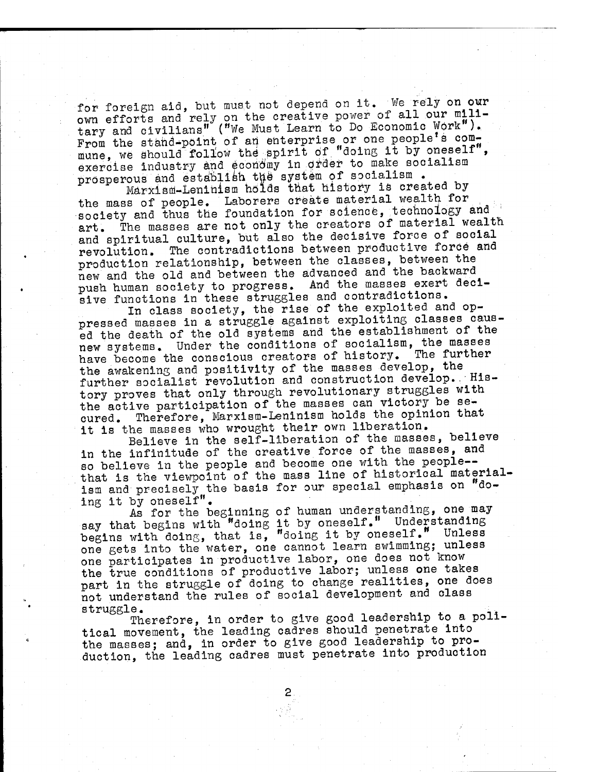for foreign aid, but must not depend on it. We rely on our own efforts and rely on the creative power of all our mili-<br>tary and civilians" ("We Must Learn to Do Economic Work"). From the stand-point of an enterprise or one people<sup>t</sup>s commune, we should follow the spirit of "doing it by oneself", exercise industry and economy in order to make socialism prosperous and establish the system of socialism.

Marxism-Lenihism holds that history is created by the mass of people. Laborers create material wealth for society and thus the foundation for science, technology and art. The masses are not only the creators of material wealth and spiritual culture, but also the decisive force of social revolution. The contradictions between productive foröe and production relationship, between the classes, between the new and the old and between the advanced and the backward push human society to progress. And the masses exert decisive functions in these struggles and contradictions.

In class society, the rise of the exploited and oppressed masses in a struggle against exploiting classes caused the death of the old systems and the establishment of the new systems. Under the conditions of socialism, the masses have become the conscious creators of history. the awakening and positivity of the masses develop, the further socialist revolution and construction develop. History proves that only through revolutionary struggles with the active participation of the masses can victory be secured. Therefore, Marxism-Leninism holds the opinion that it is the masses who wrought their own liberation.

Believe in the self-liberation of the masses, believe in the infinitude of the creative force of the masses, and so believe in the people and become one with the people that is the viewpoint of the mass line of historical materialism and precisely the basis for our special emphasis on  $"d$ oing it by oneself".

As for the beginning of human understanding, one may say that begins with "doing it by oneself." Understanding begins with doing, that is, "doing it by oneself." Unless one gets into the water, one cannot learn swimming; unless one participates in productive labor, one does not know the true conditions of productive labor; unless one takes part in the struggle of doing to change realities, one does not understand the rules of social development and class struggle. And the struggle of the struggle of the struggle of the struggle of the struggle of the struggle of the struggle of the struggle of the struggle of the struggle of the struggle of the struggle of the struggle of

Therefore, in order to give good leadership to a political movement, the leading cadres should penetrate into the masses; and, in order to give good leadership to production, the leading cadres must penetrate into production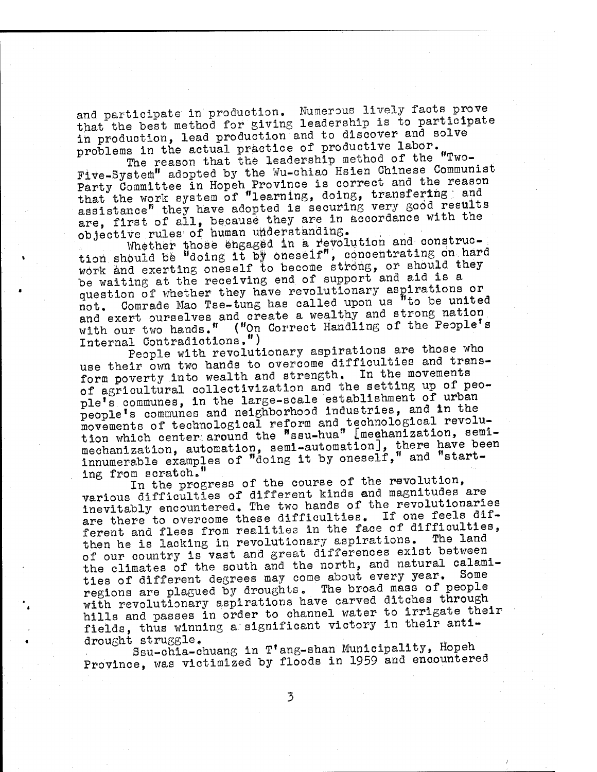and participate in production. Numerous lively facts prove that the best method for giving leadership is to participate in production, lead production and to discover and solve problems in the actual practice of productive labor.

The reason that the leadership method of the "Two-Five-System" adopted by the Wu-chiao Hsien Chinese Communist Party Committee in Hopeh Province is correct and the reason that the work system of "learning, doing, transfering ; and assistance" they have adopted is securing very good results are, first of all, because they are in accordance with the objective rules^ of human understanding.

Whether those engaged in a revolution and construction should be "doing it by oneself", concentrating on hard work and exerting oneself to become strong, or should they be waiting at the receiving end of support and aid is a question of whether they have revolutionary aspirations or not. Comrade Mao Tse-tung has called upon us "to be united and exert ourselves and create a wealthy and strong nation with our two hands." ("On Correct Handling of the People's Internal Contradictions.") Internal Contradictions,") .

People with revolutionary aspirations are those who use their own two hands to overcome difficulties and transform poverty into wealth and strength. In the movements of agricultural collectivization and the setting up of people's communes, in the large-scale establishment of urban people's communes and neighborhood industries, and in the movements of technological reform and technological revolution which center around the "ssu-hua" Imechanization, semimechanization, automation, semi-automation], there have been innumerable examples of "doing it by oneself," and "start-<br>ing from scratch."

ing from scratch."<br>In the progress of the course of the revolution, various difficulties of different kinds and magnitudes are inevitably encountered. The two hands of the revolutionaries are there to overcome these difficulties. If one feels different and flees from realities in the face of difficulties, then he is lacking in revolutionary aspirations. The land of our country is vast and great differences exist between the climates of the south and the north, and natural calamities of different degrees may come about every year. Some regions are plagued by droughts. The broad mass of people with revolutionary aspirations have carved ditches through hills and passes in order to channel water to irrigate their fields, thus winning a significant victory in their anti-

drought struggle.<br>Ssu-chia-chuang in T'ang-shan Municipality, Hopeh Province, was victimized by floods in 1959 and encountered